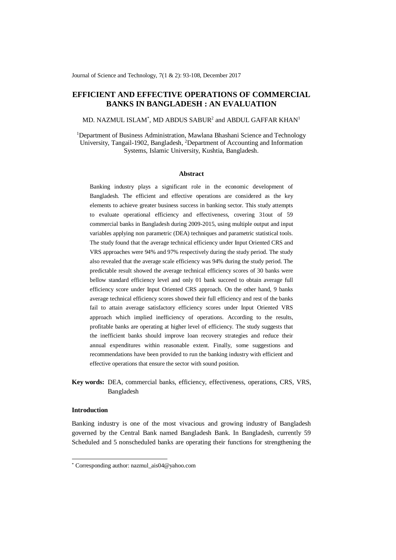Journal of Science and Technology, 7(1 & 2): 93-108, December 2017

# **EFFICIENT AND EFFECTIVE OPERATIONS OF COMMERCIAL BANKS IN BANGLADESH : AN EVALUATION**

MD. NAZMUL ISLAM $^\ast$ , MD ABDUS SABUR $^2$  and ABDUL GAFFAR KHAN $^1$ 

<sup>1</sup>Department of Business Administration, Mawlana Bhashani Science and Technology University, Tangail-1902, Bangladesh, <sup>2</sup>Department of Accounting and Information Systems, Islamic University, Kushtia, Bangladesh.

### **Abstract**

Banking industry plays a significant role in the economic development of Bangladesh. The efficient and effective operations are considered as the key elements to achieve greater business success in banking sector. This study attempts to evaluate operational efficiency and effectiveness, covering 31out of 59 commercial banks in Bangladesh during 2009-2015, using multiple output and input variables applying non parametric (DEA) techniques and parametric statistical tools. The study found that the average technical efficiency under Input Oriented CRS and VRS approaches were 94% and 97% respectively during the study period. The study also revealed that the average scale efficiency was 94% during the study period. The predictable result showed the average technical efficiency scores of 30 banks were bellow standard efficiency level and only 01 bank succeed to obtain average full efficiency score under Input Oriented CRS approach. On the other hand, 9 banks average technical efficiency scores showed their full efficiency and rest of the banks fail to attain average satisfactory efficiency scores under Input Oriented VRS approach which implied inefficiency of operations. According to the results, profitable banks are operating at higher level of efficiency. The study suggests that the inefficient banks should improve loan recovery strategies and reduce their annual expenditures within reasonable extent. Finally, some suggestions and recommendations have been provided to run the banking industry with efficient and effective operations that ensure the sector with sound position.

**Key words:** DEA, commercial banks, efficiency, effectiveness, operations, CRS, VRS, Bangladesh

# **Introduction**

-

Banking industry is one of the most vivacious and growing industry of Bangladesh governed by the Central Bank named Bangladesh Bank. In Bangladesh, currently 59 Scheduled and 5 nonscheduled banks are operating their functions for strengthening the

<sup>\*</sup> Corresponding author: nazmul\_ais04@yahoo.com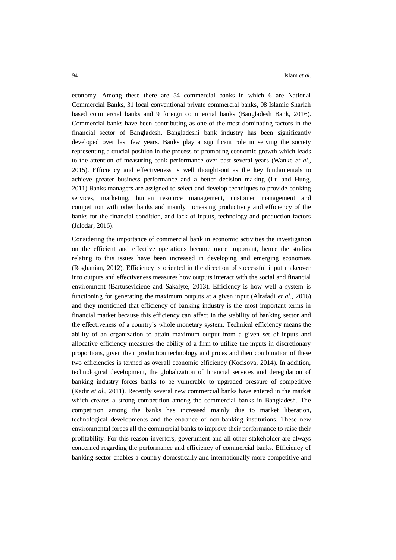economy. Among these there are 54 commercial banks in which 6 are National Commercial Banks, 31 local conventional private commercial banks, 08 Islamic Shariah based commercial banks and 9 foreign commercial banks (Bangladesh Bank, 2016). Commercial banks have been contributing as one of the most dominating factors in the financial sector of Bangladesh. Bangladeshi bank industry has been significantly developed over last few years. Banks play a significant role in serving the society representing a crucial position in the process of promoting economic growth which leads to the attention of measuring bank performance over past several years (Wanke *et al*., 2015). Efficiency and effectiveness is well thought-out as the key fundamentals to achieve greater business performance and a better decision making (Lu and Hung, 2011).Banks managers are assigned to select and develop techniques to provide banking services, marketing, human resource management, customer management and competition with other banks and mainly increasing productivity and efficiency of the banks for the financial condition, and lack of inputs, technology and production factors (Jelodar, 2016).

Considering the importance of commercial bank in economic activities the investigation on the efficient and effective operations become more important, hence the studies relating to this issues have been increased in developing and emerging economies (Roghanian, 2012). Efficiency is oriented in the direction of successful input makeover into outputs and effectiveness measures how outputs interact with the social and financial environment (Bartuseviciene and Sakalyte, 2013). Efficiency is how well a system is functioning for generating the maximum outputs at a given input (Alrafadi *et al*., 2016) and they mentioned that efficiency of banking industry is the most important terms in financial market because this efficiency can affect in the stability of banking sector and the effectiveness of a country's whole monetary system. Technical efficiency means the ability of an organization to attain maximum output from a given set of inputs and allocative efficiency measures the ability of a firm to utilize the inputs in discretionary proportions, given their production technology and prices and then combination of these two efficiencies is termed as overall economic efficiency (Kocisova, 2014). In addition, technological development, the globalization of financial services and deregulation of banking industry forces banks to be vulnerable to upgraded pressure of competitive (Kadir *et al*., 2011). Recently several new commercial banks have entered in the market which creates a strong competition among the commercial banks in Bangladesh. The competition among the banks has increased mainly due to market liberation, technological developments and the entrance of non-banking institutions. These new environmental forces all the commercial banks to improve their performance to raise their profitability. For this reason invertors, government and all other stakeholder are always concerned regarding the performance and efficiency of commercial banks. Efficiency of banking sector enables a country domestically and internationally more competitive and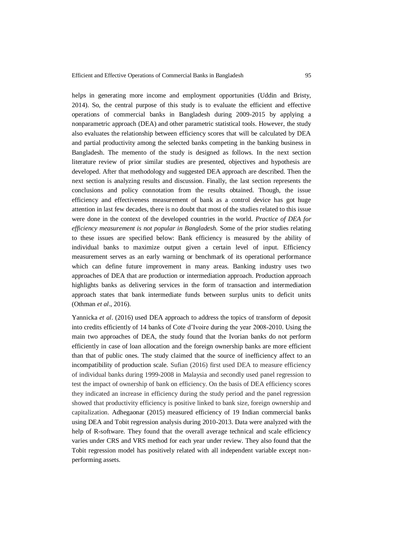helps in generating more income and employment opportunities (Uddin and Bristy, 2014). So, the central purpose of this study is to evaluate the efficient and effective operations of commercial banks in Bangladesh during 2009-2015 by applying a nonparametric approach (DEA) and other parametric statistical tools. However, the study also evaluates the relationship between efficiency scores that will be calculated by DEA and partial productivity among the selected banks competing in the banking business in Bangladesh. The memento of the study is designed as follows. In the next section literature review of prior similar studies are presented, objectives and hypothesis are developed. After that methodology and suggested DEA approach are described. Then the next section is analyzing results and discussion. Finally, the last section represents the conclusions and policy connotation from the results obtained. Though, the issue efficiency and effectiveness measurement of bank as a control device has got huge attention in last few decades, there is no doubt that most of the studies related to this issue were done in the context of the developed countries in the world. *Practice of DEA for efficiency measurement is not popular in Bangladesh.* Some of the prior studies relating to these issues are specified below: Bank efficiency is measured by the ability of individual banks to maximize output given a certain level of input. Efficiency measurement serves as an early warning or benchmark of its operational performance which can define future improvement in many areas. Banking industry uses two approaches of DEA that are production or intermediation approach. Production approach highlights banks as delivering services in the form of transaction and intermediation approach states that bank intermediate funds between surplus units to deficit units (Othman *et al*., 2016).

Yannicka *et al*. (2016) used DEA approach to address the topics of transform of deposit into credits efficiently of 14 banks of Cote d'Ivoire during the year 2008-2010. Using the main two approaches of DEA, the study found that the Ivorian banks do not perform efficiently in case of loan allocation and the foreign ownership banks are more efficient than that of public ones. The study claimed that the source of inefficiency affect to an incompatibility of production scale. Sufian (2016) first used DEA to measure efficiency of individual banks during 1999-2008 in Malaysia and secondly used panel regression to test the impact of ownership of bank on efficiency. On the basis of DEA efficiency scores they indicated an increase in efficiency during the study period and the panel regression showed that productivity efficiency is positive linked to bank size, foreign ownership and capitalization. Adhegaonar (2015) measured efficiency of 19 Indian commercial banks using DEA and Tobit regression analysis during 2010-2013. Data were analyzed with the help of R-software. They found that the overall average technical and scale efficiency varies under CRS and VRS method for each year under review. They also found that the Tobit regression model has positively related with all independent variable except nonperforming assets.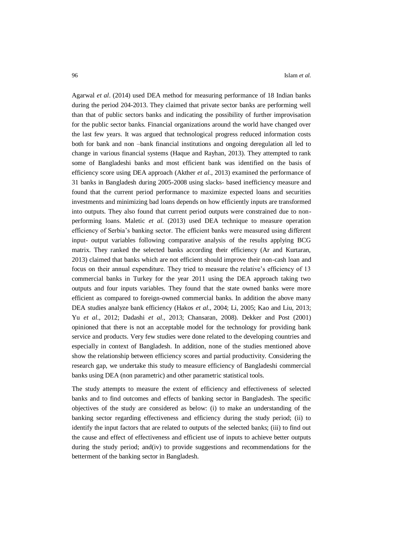Agarwal *et al*. (2014) used DEA method for measuring performance of 18 Indian banks during the period 204-2013. They claimed that private sector banks are performing well than that of public sectors banks and indicating the possibility of further improvisation for the public sector banks. Financial organizations around the world have changed over the last few years. It was argued that technological progress reduced information costs both for bank and non –bank financial institutions and ongoing deregulation all led to change in various financial systems (Haque and Rayhan, 2013). They attempted to rank some of Bangladeshi banks and most efficient bank was identified on the basis of efficiency score using DEA approach (Akther *et al*., 2013) examined the performance of 31 banks in Bangladesh during 2005-2008 using slacks- based inefficiency measure and found that the current period performance to maximize expected loans and securities investments and minimizing bad loans depends on how efficiently inputs are transformed into outputs. They also found that current period outputs were constrained due to nonperforming loans. Maletic *et al*. (2013) used DEA technique to measure operation efficiency of Serbia's banking sector. The efficient banks were measured using different input- output variables following comparative analysis of the results applying BCG matrix. They ranked the selected banks according their efficiency (Ar and Kurtaran, 2013) claimed that banks which are not efficient should improve their non-cash loan and focus on their annual expenditure. They tried to measure the relative's efficiency of 13 commercial banks in Turkey for the year 2011 using the DEA approach taking two outputs and four inputs variables. They found that the state owned banks were more efficient as compared to foreign-owned commercial banks. In addition the above many DEA studies analyze bank efficiency (Hakos *et al*., 2004; Li, 2005; Kao and Liu, 2013; Yu *et al*., 2012; Dadashi *et al*., 2013; Chansaran, 2008). Dekker and Post (2001) opinioned that there is not an acceptable model for the technology for providing bank service and products. Very few studies were done related to the developing countries and especially in context of Bangladesh. In addition, none of the studies mentioned above show the relationship between efficiency scores and partial productivity. Considering the research gap, we undertake this study to measure efficiency of Bangladeshi commercial banks using DEA (non parametric) and other parametric statistical tools.

The study attempts to measure the extent of efficiency and effectiveness of selected banks and to find outcomes and effects of banking sector in Bangladesh. The specific objectives of the study are considered as below: (i) to make an understanding of the banking sector regarding effectiveness and efficiency during the study period; (ii) to identify the input factors that are related to outputs of the selected banks; (iii) to find out the cause and effect of effectiveness and efficient use of inputs to achieve better outputs during the study period; and(iv) to provide suggestions and recommendations for the betterment of the banking sector in Bangladesh.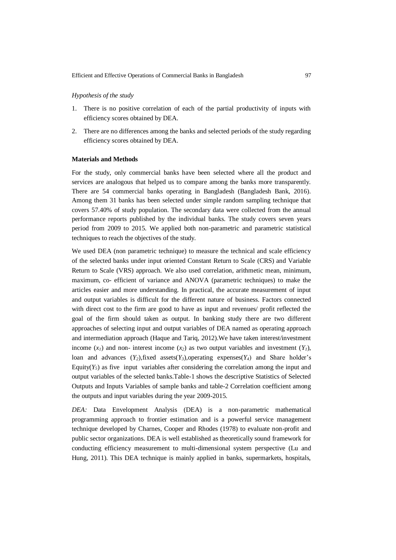#### *Hypothesis of the study*

- 1. There is no positive correlation of each of the partial productivity of inputs with efficiency scores obtained by DEA.
- 2. There are no differences among the banks and selected periods of the study regarding efficiency scores obtained by DEA.

### **Materials and Methods**

For the study, only commercial banks have been selected where all the product and services are analogous that helped us to compare among the banks more transparently. There are 54 commercial banks operating in Bangladesh (Bangladesh Bank, 2016). Among them 31 banks has been selected under simple random sampling technique that covers 57.40% of study population. The secondary data were collected from the annual performance reports published by the individual banks. The study covers seven years period from 2009 to 2015. We applied both non-parametric and parametric statistical techniques to reach the objectives of the study.

We used DEA (non parametric technique) to measure the technical and scale efficiency of the selected banks under input oriented Constant Return to Scale (CRS) and Variable Return to Scale (VRS) approach. We also used correlation, arithmetic mean, minimum, maximum, co- efficient of variance and ANOVA (parametric techniques) to make the articles easier and more understanding. In practical, the accurate measurement of input and output variables is difficult for the different nature of business. Factors connected with direct cost to the firm are good to have as input and revenues/ profit reflected the goal of the firm should taken as output. In banking study there are two different approaches of selecting input and output variables of DEA named as operating approach and intermediation approach (Haque and Tariq, 2012).We have taken interest/investment income  $(x<sub>l</sub>)$  and non- interest income  $(x<sub>2</sub>)$  as two output variables and investment  $(Y<sub>l</sub>)$ , loan and advances  $(Y_2)$ , fixed assets $(Y_3)$ , operating expenses  $(Y_4)$  and Share holder's Equity( $Y_5$ ) as five input variables after considering the correlation among the input and output variables of the selected banks.Table-1 shows the descriptive Statistics of Selected Outputs and Inputs Variables of sample banks and table-2 Correlation coefficient among the outputs and input variables during the year 2009-2015.

*DEA:* Data Envelopment Analysis (DEA) is a non-parametric mathematical programming approach to frontier estimation and is a powerful service management technique developed by Charnes, Cooper and Rhodes (1978) to evaluate non-profit and public sector organizations. DEA is well established as theoretically sound framework for conducting efficiency measurement to multi-dimensional system perspective (Lu and Hung, 2011). This DEA technique is mainly applied in banks, supermarkets, hospitals,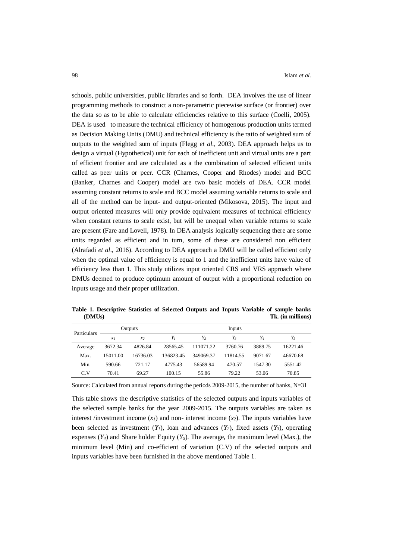schools, public universities, public libraries and so forth. DEA involves the use of linear programming methods to construct a non-parametric piecewise surface (or frontier) over the data so as to be able to calculate efficiencies relative to this surface (Coelli, 2005). DEA is used to measure the technical efficiency of homogenous production units termed as Decision Making Units (DMU) and technical efficiency is the ratio of weighted sum of outputs to the weighted sum of inputs (Flegg *et al*., 2003). DEA approach helps us to design a virtual (Hypothetical) unit for each of inefficient unit and virtual units are a part of efficient frontier and are calculated as a the combination of selected efficient units called as peer units or peer. CCR (Charnes, Cooper and Rhodes) model and BCC (Banker, Charnes and Cooper) model are two basic models of DEA. CCR model assuming constant returns to scale and BCC model assuming variable returns to scale and all of the method can be input- and output-oriented (Mikosova, 2015). The input and output oriented measures will only provide equivalent measures of technical efficiency when constant returns to scale exist, but will be unequal when variable returns to scale are present (Fare and Lovell, 1978). In DEA analysis logically sequencing there are some units regarded as efficient and in turn, some of these are considered non efficient (Alrafadi *et al*., 2016). According to DEA approach a DMU will be called efficient only when the optimal value of efficiency is equal to 1 and the inefficient units have value of efficiency less than 1. This study utilizes input oriented CRS and VRS approach where DMUs deemed to produce optimum amount of output with a proportional reduction on inputs usage and their proper utilization.

**Table 1. Descriptive Statistics of Selected Outputs and Inputs Variable of sample banks (DMUs) Tk. (in millions)**

| Particulars |               | Outputs        | Inputs    |           |          |         |          |  |  |
|-------------|---------------|----------------|-----------|-----------|----------|---------|----------|--|--|
|             | $\mathcal{X}$ | x <sub>2</sub> | $Y_{I}$   | Y,        | $Y_{3}$  | Y4      | Υ5       |  |  |
| Average     | 3672.34       | 4826.84        | 28565.45  | 111071.22 | 3760.76  | 3889.75 | 16221.46 |  |  |
| Max.        | 15011.00      | 16736.03       | 136823.45 | 349069.37 | 11814.55 | 9071.67 | 46670.68 |  |  |
| Min.        | 590.66        | 721.17         | 4775.43   | 56589.94  | 470.57   | 1547.30 | 5551.42  |  |  |
| C.V         | 70.41         | 69.27          | 100.15    | 55.86     | 79.22    | 53.06   | 70.85    |  |  |

Source: Calculated from annual reports during the periods 2009-2015, the number of banks, N=31

This table shows the descriptive statistics of the selected outputs and inputs variables of the selected sample banks for the year 2009-2015. The outputs variables are taken as interest /investment income  $(x<sub>l</sub>)$  and non- interest income  $(x<sub>2</sub>)$ . The inputs variables have been selected as investment  $(Y<sub>I</sub>)$ , loan and advances  $(Y<sub>2</sub>)$ , fixed assets  $(Y<sub>3</sub>)$ , operating expenses  $(Y_4)$  and Share holder Equity  $(Y_5)$ . The average, the maximum level (Max.), the minimum level (Min) and co-efficient of variation (C.V) of the selected outputs and inputs variables have been furnished in the above mentioned Table 1.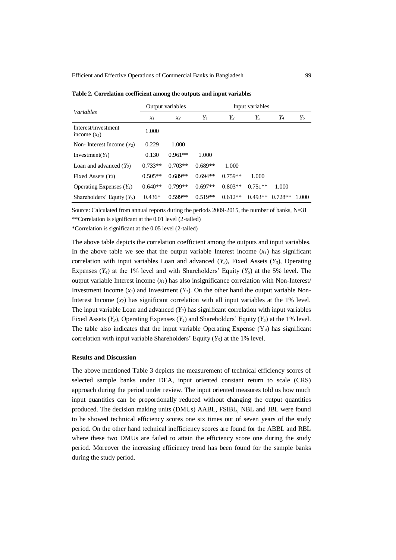| <i>Variables</i>                      |           | Output variables | Input variables |           |           |           |       |  |  |
|---------------------------------------|-----------|------------------|-----------------|-----------|-----------|-----------|-------|--|--|
|                                       | $x_I$     | $x_2$            | $Y_I$           | $Y_2$     | $Y_3$     | Y4        | $Y_5$ |  |  |
| Interest/investment<br>income $(x_l)$ | 1.000     |                  |                 |           |           |           |       |  |  |
| Non-Interest Income $(x_2)$           | 0.229     | 1.000            |                 |           |           |           |       |  |  |
| Investment( $Y_l$ )                   | 0.130     | $0.961**$        | 1.000           |           |           |           |       |  |  |
| Loan and advanced $(Y_2)$             | $0.733**$ | $0.703**$        | $0.689**$       | 1.000     |           |           |       |  |  |
| Fixed Assets $(Y_3)$                  | $0.505**$ | $0.689**$        | $0.694**$       | $0.759**$ | 1.000     |           |       |  |  |
| Operating Expenses $(Y_4)$            | $0.640**$ | $0.799**$        | $0.697**$       | $0.803**$ | $0.751**$ | 1.000     |       |  |  |
| Shareholders' Equity $(Y_5)$          | $0.436*$  | $0.599**$        | $0.519**$       | $0.612**$ | $0.493**$ | $0.728**$ | 1.000 |  |  |

**Table 2. Correlation coefficient among the outputs and input variables**

Source: Calculated from annual reports during the periods 2009-2015, the number of banks, N=31 \*\*Correlation is significant at the 0.01 level (2-tailed)

\*Correlation is significant at the 0.05 level (2-tailed)

The above table depicts the correlation coefficient among the outputs and input variables. In the above table we see that the output variable Interest income  $(x<sub>i</sub>)$  has significant correlation with input variables Loan and advanced  $(Y_2)$ , Fixed Assets  $(Y_3)$ , Operating Expenses  $(Y_4)$  at the 1% level and with Shareholders' Equity  $(Y_5)$  at the 5% level. The output variable Interest income  $(x<sub>l</sub>)$  has also insignificance correlation with Non-Interest/ Investment Income  $(x_2)$  and Investment  $(Y_1)$ . On the other hand the output variable Non-Interest Income  $(x_2)$  has significant correlation with all input variables at the 1% level. The input variable Loan and advanced  $(Y_2)$  has significant correlation with input variables Fixed Assets  $(Y_3)$ , Operating Expenses  $(Y_4)$  and Shareholders' Equity  $(Y_5)$  at the 1% level. The table also indicates that the input variable Operating Expense  $(Y_4)$  has significant correlation with input variable Shareholders' Equity (*Y5*) at the 1% level.

#### **Results and Discussion**

The above mentioned Table 3 depicts the measurement of technical efficiency scores of selected sample banks under DEA, input oriented constant return to scale (CRS) approach during the period under review. The input oriented measures told us how much input quantities can be proportionally reduced without changing the output quantities produced. The decision making units (DMUs) AABL, FSIBL, NBL and JBL were found to be showed technical efficiency scores one six times out of seven years of the study period. On the other hand technical inefficiency scores are found for the ABBL and RBL where these two DMUs are failed to attain the efficiency score one during the study period. Moreover the increasing efficiency trend has been found for the sample banks during the study period.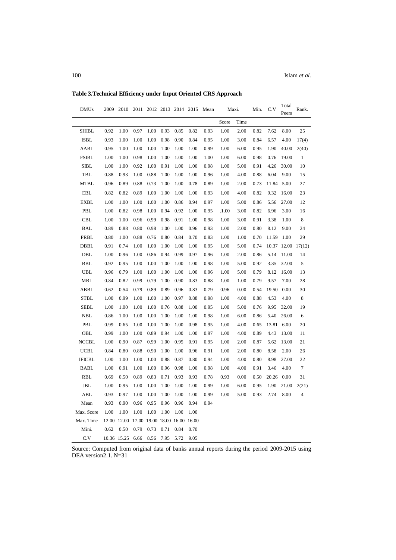| <b>DMUs</b>   | 2009 | 2010        |                               | 2011 2012 2013 2014 2015 |      |      |      | Mean | Maxi. |      | Min. | C.V   | Total<br>Peers | Rank.          |
|---------------|------|-------------|-------------------------------|--------------------------|------|------|------|------|-------|------|------|-------|----------------|----------------|
|               |      |             |                               |                          |      |      |      |      | Score | Time |      |       |                |                |
| SHIBL         | 0.92 | 1.00        | 0.97                          | 1.00                     | 0.93 | 0.85 | 0.82 | 0.93 | 1.00  | 2.00 | 0.82 | 7.62  | 8.00           | 25             |
| ISBL          | 0.93 | 1.00        | 1.00                          | 1.00                     | 0.98 | 0.90 | 0.84 | 0.95 | 1.00  | 3.00 | 0.84 | 6.57  | 4.00           | 17(4)          |
| AABL          | 0.95 | 1.00        | 1.00                          | 1.00                     | 1.00 | 1.00 | 1.00 | 0.99 | 1.00  | 6.00 | 0.95 | 1.90  | 40.00          | 2(40)          |
| <b>FSIBL</b>  | 1.00 | 1.00        | 0.98                          | 1.00                     | 1.00 | 1.00 | 1.00 | 1.00 | 1.00  | 6.00 | 0.98 | 0.76  | 19.00          | 1              |
| SIBL          | 1.00 | 1.00        | 0.92                          | 1.00                     | 0.91 | 1.00 | 1.00 | 0.98 | 1.00  | 5.00 | 0.91 | 4.26  | 30.00          | 10             |
| TBL           | 0.88 | 0.93        | 1.00                          | 0.88                     | 1.00 | 1.00 | 1.00 | 0.96 | 1.00  | 4.00 | 0.88 | 6.04  | 9.00           | 15             |
| <b>MTBL</b>   | 0.96 | 0.89        | 0.88                          | 0.73                     | 1.00 | 1.00 | 0.78 | 0.89 | 1.00  | 2.00 | 0.73 | 11.84 | 5.00           | 27             |
| EBL           | 0.82 | 0.82        | 0.89                          | 1.00                     | 1.00 | 1.00 | 1.00 | 0.93 | 1.00  | 4.00 | 0.82 | 9.32  | 16.00          | 23             |
| <b>EXBL</b>   | 1.00 | 1.00        | 1.00                          | 1.00                     | 1.00 | 0.86 | 0.94 | 0.97 | 1.00  | 5.00 | 0.86 | 5.56  | 27.00          | 12             |
| PBL           | 1.00 | 0.82        | 0.98                          | 1.00                     | 0.94 | 0.92 | 1.00 | 0.95 | .1.00 | 3.00 | 0.82 | 6.96  | 3.00           | 16             |
| <b>CBL</b>    | 1.00 | 1.00        | 0.96                          | 0.99                     | 0.98 | 0.91 | 1.00 | 0.98 | 1.00  | 3.00 | 0.91 | 3.38  | 1.00           | 8              |
| BAL           | 0.89 | 0.88        | 0.80                          | 0.98                     | 1.00 | 1.00 | 0.96 | 0.93 | 1.00  | 2.00 | 0.80 | 8.12  | 9.00           | 24             |
| PRBL          | 0.80 | 1.00        | 0.88                          | 0.76                     | 0.80 | 0.84 | 0.70 | 0.83 | 1.00  | 1.00 | 0.70 | 11.59 | 1.00           | 29             |
| DBBL          | 0.91 | 0.74        | 1.00                          | 1.00                     | 1.00 | 1.00 | 1.00 | 0.95 | 1.00  | 5.00 | 0.74 | 10.37 | 12.00          | 17(12)         |
| DBL           | 1.00 | 0.96        | 1.00                          | 0.86                     | 0.94 | 0.99 | 0.97 | 0.96 | 1.00  | 2.00 | 0.86 | 5.14  | 11.00          | 14             |
| <b>BBL</b>    | 0.92 | 0.95        | 1.00                          | 1.00                     | 1.00 | 1.00 | 1.00 | 0.98 | 1.00  | 5.00 | 0.92 | 3.35  | 32.00          | 5              |
| <b>UBL</b>    | 0.96 | 0.79        | 1.00                          | 1.00                     | 1.00 | 1.00 | 1.00 | 0.96 | 1.00  | 5.00 | 0.79 | 8.12  | 16.00          | 13             |
| <b>MBL</b>    | 0.84 | 0.82        | 0.99                          | 0.79                     | 1.00 | 0.90 | 0.83 | 0.88 | 1.00  | 1.00 | 0.79 | 9.57  | 7.00           | 28             |
| ABBL          | 0.62 | 0.54        | 0.79                          | 0.89                     | 0.89 | 0.96 | 0.83 | 0.79 | 0.96  | 0.00 | 0.54 | 19.50 | 0.00           | 30             |
| STBL          | 1.00 | 0.99        | 1.00                          | 1.00                     | 1.00 | 0.97 | 0.88 | 0.98 | 1.00  | 4.00 | 0.88 | 4.53  | 4.00           | 8              |
| SEBL          | 1.00 | 1.00        | 1.00                          | 1.00                     | 0.76 | 0.88 | 1.00 | 0.95 | 1.00  | 5.00 | 0.76 | 9.95  | 32.00          | 19             |
| NBL           | 0.86 | 1.00        | 1.00                          | 1.00                     | 1.00 | 1.00 | 1.00 | 0.98 | 1.00  | 6.00 | 0.86 | 5.40  | 26.00          | 6              |
| PBL           | 0.99 | 0.65        | 1.00                          | 1.00                     | 1.00 | 1.00 | 0.98 | 0.95 | 1.00  | 4.00 | 0.65 | 13.81 | 6.00           | 20             |
| OBL           | 0.99 | 1.00        | 1.00                          | 0.89                     | 0.94 | 1.00 | 1.00 | 0.97 | 1.00  | 4.00 | 0.89 | 4.43  | 13.00          | 11             |
| <b>NCCBL</b>  | 1.00 | 0.90        | 0.87                          | 0.99                     | 1.00 | 0.95 | 0.91 | 0.95 | 1.00  | 2.00 | 0.87 | 5.62  | 13.00          | 21             |
| <b>UCBL</b>   | 0.84 | 0.80        | 0.88                          | 0.90                     | 1.00 | 1.00 | 0.96 | 0.91 | 1.00  | 2.00 | 0.80 | 8.58  | 2.00           | 26             |
| <b>IFICBL</b> | 1.00 | 1.00        | 1.00                          | 1.00                     | 0.88 | 0.87 | 0.80 | 0.94 | 1.00  | 4.00 | 0.80 | 8.98  | 27.00          | 22             |
| <b>BABL</b>   | 1.00 | 0.91        | 1.00                          | 1.00                     | 0.96 | 0.98 | 1.00 | 0.98 | 1.00  | 4.00 | 0.91 | 3.46  | 4.00           | $\overline{7}$ |
| RBL           | 0.69 | 0.50        | 0.89                          | 0.83                     | 0.71 | 0.93 | 0.93 | 0.78 | 0.93  | 0.00 | 0.50 | 20.26 | 0.00           | 31             |
| JBL           | 1.00 | 0.95        | 1.00                          | 1.00                     | 1.00 | 1.00 | 1.00 | 0.99 | 1.00  | 6.00 | 0.95 | 1.90  | 21.00          | 2(21)          |
| ABL           | 0.93 | 0.97        | 1.00                          | 1.00                     | 1.00 | 1.00 | 1.00 | 0.99 | 1.00  | 5.00 | 0.93 | 2.74  | 8.00           | 4              |
| Mean          | 0.93 | 0.90        | 0.96                          | 0.95                     | 0.96 | 0.96 | 0.94 | 0.94 |       |      |      |       |                |                |
| Max. Score    | 1.00 | 1.00        | 1.00                          | 1.00                     | 1.00 | 1.00 | 1.00 |      |       |      |      |       |                |                |
| Max. Time     |      | 12.00 12.00 | 17.00 19.00 18.00 16.00 16.00 |                          |      |      |      |      |       |      |      |       |                |                |
| Mini.         | 0.62 | 0.50        | 0.79                          | 0.73                     | 0.71 | 0.84 | 0.70 |      |       |      |      |       |                |                |
| C.V           |      | 10.36 15.25 | 6.66                          | 8.56                     | 7.95 | 5.72 | 9.05 |      |       |      |      |       |                |                |

**Table 3.Technical Efficiency under Input Oriented CRS Approach**

Source: Computed from original data of banks annual reports during the period 2009-2015 using DEA version2.1. N=31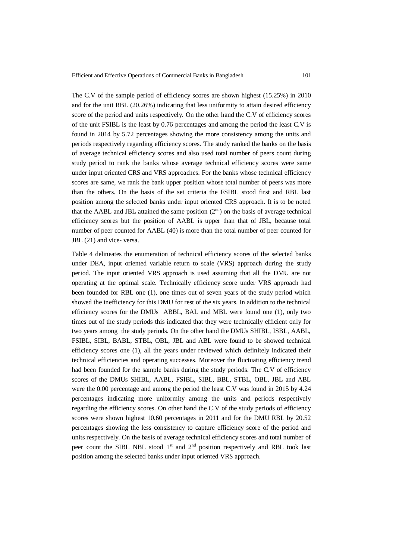The C.V of the sample period of efficiency scores are shown highest (15.25%) in 2010 and for the unit RBL (20.26%) indicating that less uniformity to attain desired efficiency score of the period and units respectively. On the other hand the C.V of efficiency scores of the unit FSIBL is the least by 0.76 percentages and among the period the least C.V is found in 2014 by 5.72 percentages showing the more consistency among the units and periods respectively regarding efficiency scores. The study ranked the banks on the basis of average technical efficiency scores and also used total number of peers count during study period to rank the banks whose average technical efficiency scores were same under input oriented CRS and VRS approaches. For the banks whose technical efficiency scores are same, we rank the bank upper position whose total number of peers was more than the others. On the basis of the set criteria the FSIBL stood first and RBL last position among the selected banks under input oriented CRS approach. It is to be noted that the AABL and JBL attained the same position  $(2<sup>nd</sup>)$  on the basis of average technical efficiency scores but the position of AABL is upper than that of JBL, because total number of peer counted for AABL (40) is more than the total number of peer counted for JBL (21) and vice- versa.

Table 4 delineates the enumeration of technical efficiency scores of the selected banks under DEA, input oriented variable return to scale (VRS) approach during the study period. The input oriented VRS approach is used assuming that all the DMU are not operating at the optimal scale. Technically efficiency score under VRS approach had been founded for RBL one (1), one times out of seven years of the study period which showed the inefficiency for this DMU for rest of the six years. In addition to the technical efficiency scores for the DMUs ABBL, BAL and MBL were found one (1), only two times out of the study periods this indicated that they were technically efficient only for two years among the study periods. On the other hand the DMUs SHIBL, ISBL, AABL, FSIBL, SIBL, BABL, STBL, OBL, JBL and ABL were found to be showed technical efficiency scores one (1), all the years under reviewed which definitely indicated their technical efficiencies and operating successes. Moreover the fluctuating efficiency trend had been founded for the sample banks during the study periods. The C.V of efficiency scores of the DMUs SHIBL, AABL, FSIBL, SIBL, BBL, STBL, OBL, JBL and ABL were the 0.00 percentage and among the period the least C.V was found in 2015 by 4.24 percentages indicating more uniformity among the units and periods respectively regarding the efficiency scores. On other hand the C.V of the study periods of efficiency scores were shown highest 10.60 percentages in 2011 and for the DMU RBL by 20.52 percentages showing the less consistency to capture efficiency score of the period and units respectively. On the basis of average technical efficiency scores and total number of peer count the SIBL NBL stood 1<sup>st</sup> and 2<sup>nd</sup> position respectively and RBL took last position among the selected banks under input oriented VRS approach.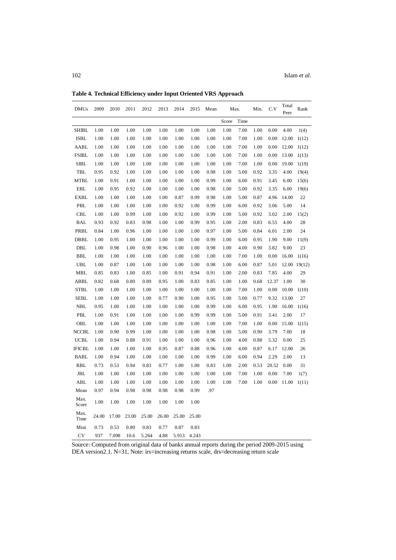| <b>DMUs</b>   | 2009  | 2010  | 2011  | 2012  | 2013  | 2014  | 2015  | Mean | Max.  |      | Min. | C.V   | Total<br>Peer | Rank         |
|---------------|-------|-------|-------|-------|-------|-------|-------|------|-------|------|------|-------|---------------|--------------|
|               |       |       |       |       |       |       |       |      | Score | Time |      |       |               |              |
| <b>SHIBL</b>  | 1.00  | 1.00  | 1.00  | 1.00  | 1.00  | 1.00  | 1.00  | 1.00 | 1.00  | 7.00 | 1.00 | 0.00  | 4.00          | 1(4)         |
| <b>ISBL</b>   | 1.00  | 1.00  | 1.00  | 1.00  | 1.00  | 1.00  | 1.00  | 1.00 | 1.00  | 7.00 | 1.00 | 0.00  | 12.00         | 1(12)        |
| AABL          | 1.00  | 1.00  | 1.00  | 1.00  | 1.00  | 1.00  | 1.00  | 1.00 | 1.00  | 7.00 | 1.00 | 0.00  | 12.00         | 1(12)        |
| <b>FSIBL</b>  | 1.00  | 1.00  | 1.00  | 1.00  | 1.00  | 1.00  | 1.00  | 1.00 | 1.00  | 7.00 | 1.00 | 0.00  | 13.00         | 1(13)        |
| <b>SIBL</b>   | 1.00  | 1.00  | 1.00  | 1.00  | 1.00  | 1.00  | 1.00  | 1.00 | 1.00  | 7.00 | 1.00 | 0.00  | 19.00         | 1(19)        |
| TBL           | 0.95  | 0.92  | 1.00  | 1.00  | 1.00  | 1.00  | 1.00  | 0.98 | 1.00  | 5.00 | 0.92 | 3.35  | 4.00          | 19(4)        |
| <b>MTBL</b>   | 1.00  | 0.91  | 1.00  | 1.00  | 1.00  | 1.00  | 1.00  | 0.99 | 1.00  | 6.00 | 0.91 | 3.45  | 6.00          | 15(6)        |
| EBL           | 1.00  | 0.95  | 0.92  | 1.00  | 1.00  | 1.00  | 1.00  | 0.98 | 1.00  | 5.00 | 0.92 | 3.35  | 6.00          | 19(6)        |
| <b>EXBL</b>   | 1.00  | 1.00  | 1.00  | 1.00  | 1.00  | 0.87  | 0.99  | 0.98 | 1.00  | 5.00 | 0.87 | 4.96  | 14.00         | 22           |
| PBL           | 1.00  | 1.00  | 1.00  | 1.00  | 1.00  | 0.92  | 1.00  | 0.99 | 1.00  | 6.00 | 0.92 | 3.06  | 5.00          | 14           |
| <b>CBL</b>    | 1.00  | 1.00  | 0.99  | 1.00  | 1.00  | 0.92  | 1.00  | 0.99 | 1.00  | 5.00 | 0.92 | 3.02  | 2.00          | 15(2)        |
| <b>BAL</b>    | 0.93  | 0.92  | 0.83  | 0.98  | 1.00  | 1.00  | 0.99  | 0.95 | 1.00  | 2.00 | 0.83 | 6.55  | 4.00          | 28           |
| PRBL          | 0.84  | 1.00  | 0.96  | 1.00  | 1.00  | 1.00  | 1.00  | 0.97 | 1.00  | 5.00 | 0.84 | 6.01  | 2.00          | 24           |
| DBBL          | 1.00  | 0.95  | 1.00  | 1.00  | 1.00  | 1.00  | 1.00  | 0.99 | 1.00  | 6.00 | 0.95 | 1.90  | 9.00          | 11(9)        |
| DBL           | 1.00  | 0.98  | 1.00  | 0.90  | 0.96  | 1.00  | 1.00  | 0.98 | 1.00  | 4.00 | 0.90 | 3.82  | 9.00          | 23           |
| <b>BBL</b>    | 1.00  | 1.00  | 1.00  | 1.00  | 1.00  | 1.00  | 1.00  | 1.00 | 1.00  | 7.00 | 1.00 | 0.00  | 16.00         | 1(16)        |
| UBL           | 1.00  | 0.87  | 1.00  | 1.00  | 1.00  | 1.00  | 1.00  | 0.98 | 1.00  | 6.00 | 0.87 | 5.01  |               | 12.00 19(12) |
| MBL           | 0.85  | 0.83  | 1.00  | 0.85  | 1.00  | 0.91  | 0.94  | 0.91 | 1.00  | 2.00 | 0.83 | 7.85  | 4.00          | 29           |
| ABBL          | 0.82  | 0.68  | 0.80  | 0.89  | 0.95  | 1.00  | 0.83  | 0.85 | 1.00  | 1.00 | 0.68 | 12.37 | 1.00          | 30           |
| <b>STBL</b>   | 1.00  | 1.00  | 1.00  | 1.00  | 1.00  | 1.00  | 1.00  | 1.00 | 1.00  | 7.00 | 1.00 | 0.00  | 10.00         | 1(10)        |
| SEBL          | 1.00  | 1.00  | 1.00  | 1.00  | 0.77  | 0.90  | 1.00  | 0.95 | 1.00  | 5.00 | 0.77 | 9.32  | 13.00         | 27           |
| <b>NBL</b>    | 0.95  | 1.00  | 1.00  | 1.00  | 1.00  | 1.00  | 1.00  | 0.99 | 1.00  | 6.00 | 0.95 | 1.90  | 16.00         | 1(16)        |
| PBL           | 1.00  | 0.91  | 1.00  | 1.00  | 1.00  | 1.00  | 0.99  | 0.99 | 1.00  | 5.00 | 0.91 | 3.41  | 2.00          | 17           |
| OBL           | 1.00  | 1.00  | 1.00  | 1.00  | 1.00  | 1.00  | 1.00  | 1.00 | 1.00  | 7.00 | 1.00 | 0.00  | 15.00         | 1(15)        |
| <b>NCCBL</b>  | 1.00  | 0.90  | 0.99  | 1.00  | 1.00  | 1.00  | 1.00  | 0.98 | 1.00  | 5.00 | 0.90 | 3.79  | 7.00          | 18           |
| <b>UCBL</b>   | 1.00  | 0.94  | 0.88  | 0.91  | 1.00  | 1.00  | 1.00  | 0.96 | 1.00  | 4.00 | 0.88 | 5.32  | 0.00          | 25           |
| <b>IFICBL</b> | 1.00  | 1.00  | 1.00  | 1.00  | 0.95  | 0.87  | 0.88  | 0.96 | 1.00  | 4.00 | 0.87 | 6.17  | 12.00         | 26           |
| <b>BABL</b>   | 1.00  | 0.94  | 1.00  | 1.00  | 1.00  | 1.00  | 1.00  | 0.99 | 1.00  | 6.00 | 0.94 | 2.29  | 2.00          | 13           |
| <b>RBL</b>    | 0.73  | 0.53  | 0.94  | 0.83  | 0.77  | 1.00  | 1.00  | 0.83 | 1.00  | 2.00 | 0.53 | 20.52 | 0.00          | 31           |
| JBL           | 1.00  | 1.00  | 1.00  | 1.00  | 1.00  | 1.00  | 1.00  | 1.00 | 1.00  | 7.00 | 1.00 | 0.00  | 7.00          | 1(7)         |
| ABL           | 1.00  | 1.00  | 1.00  | 1.00  | 1.00  | 1.00  | 1.00  | 1.00 | 1.00  | 7.00 | 1.00 | 0.00  | 11.00         | 1(11)        |
| Mean          | 0.97  | 0.94  | 0.98  | 0.98  | 0.98  | 0.98  | 0.99  | .97  |       |      |      |       |               |              |
| Max.<br>Score | 1.00  | 1.00  | 1.00  | 1.00  | 1.00  | 1.00  | 1.00  |      |       |      |      |       |               |              |
| Max.<br>Time  | 24.00 | 17.00 | 23.00 | 25.00 | 26.00 | 25.00 | 25.00 |      |       |      |      |       |               |              |

**Table 4. Technical Efficiency under Input Oriented VRS Approach**

Source: Computed from original data of banks annual reports during the period 2009-2015 using DEA version2.1. N=31, Note: irs=increasing returns scale, drs=decreasing return scale

Mini 0.73 0.53 0.80 0.83 0.77 0.87 0.83 CV 937 7.098 10.6 5.264 4.88 5.913 4.243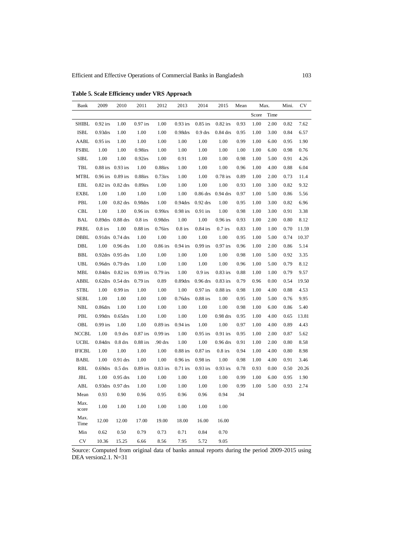| Bank          | 2009                | 2010                  | 2011       | 2012       | 2013       | 2014       | 2015       | Mean | Max.  |      | Mini. | CV    |
|---------------|---------------------|-----------------------|------------|------------|------------|------------|------------|------|-------|------|-------|-------|
|               |                     |                       |            |            |            |            |            |      | Score | Time |       |       |
| <b>SHIBL</b>  | $0.92$ irs          | 1.00                  | $0.97$ irs | 1.00       | $0.93$ irs | $0.85$ irs | $0.82$ irs | 0.93 | 1.00  | 2.00 | 0.82  | 7.62  |
| <b>ISBL</b>   | 0.93 <sub>drs</sub> | 1.00                  | 1.00       | 1.00       | 0.98drs    | $0.9$ drs  | $0.84$ drs | 0.95 | 1.00  | 3.00 | 0.84  | 6.57  |
| AABL          | $0.95$ irs          | 1.00                  | 1.00       | 1.00       | 1.00       | 1.00       | 1.00       | 0.99 | 1.00  | 6.00 | 0.95  | 1.90  |
| <b>FSIBL</b>  | 1.00                | 1.00                  | $0.98$ irs | 1.00       | 1.00       | 1.00       | 1.00       | 1.00 | 1.00  | 6.00 | 0.98  | 0.76  |
| ${\bf SIBL}$  | 1.00                | 1.00                  | $0.92$ irs | 1.00       | 0.91       | 1.00       | 1.00       | 0.98 | 1.00  | 5.00 | 0.91  | 4.26  |
| TBL           | $0.88$ irs          | $0.93$ irs            | 1.00       | $0.88$ irs | 1.00       | 1.00       | 1.00       | 0.96 | 1.00  | 4.00 | 0.88  | 6.04  |
| <b>MTBL</b>   | $0.96$ irs          | $0.89$ irs            | $0.88$ irs | $0.73$ irs | 1.00       | 1.00       | $0.78$ irs | 0.89 | 1.00  | 2.00 | 0.73  | 11.4  |
| EBL           |                     | 0.82 irs 0.82 drs     | $0.89$ irs | 1.00       | 1.00       | 1.00       | 1.00       | 0.93 | 1.00  | 3.00 | 0.82  | 9.32  |
| EXBL          | 1.00                | 1.00                  | 1.00       | 1.00       | 1.00       | $0.86$ drs | $0.94$ drs | 0.97 | 1.00  | 5.00 | 0.86  | 5.56  |
| PBL           | 1.00                | $0.82$ drs            | 0.98drs    | 1.00       | 0.94drs    | $0.92$ drs | 1.00       | 0.95 | 1.00  | 3.00 | 0.82  | 6.96  |
| <b>CBL</b>    | 1.00                | 1.00                  | $0.96$ irs | $0.99$ irs | $0.98$ irs | $0.91$ irs | 1.00       | 0.98 | 1.00  | 3.00 | 0.91  | 3.38  |
| BAL           |                     | 0.89drs 0.88 drs      | $0.8$ irs  | 0.98drs    | 1.00       | 1.00       | $0.96$ irs | 0.93 | 1.00  | 2.00 | 0.80  | 8.12  |
| PRBL          | $0.8$ irs           | 1.00                  | $0.88$ irs | 0.76irs    | $0.8$ irs  | $0.84$ irs | $0.7$ irs  | 0.83 | 1.00  | 1.00 | 0.70  | 11.59 |
| DBBL          |                     | 0.91drs 0.74 drs      | 1.00       | 1.00       | 1.00       | 1.00       | 1.00       | 0.95 | 1.00  | 5.00 | 0.74  | 10.37 |
| DBL           | 1.00                | $0.96$ drs            | 1.00       | $0.86$ irs | $0.94$ irs | $0.99$ irs | $0.97$ irs | 0.96 | 1.00  | 2.00 | 0.86  | 5.14  |
| BBL           |                     | $0.92$ drs $0.95$ drs | 1.00       | 1.00       | 1.00       | 1.00       | 1.00       | 0.98 | 1.00  | 5.00 | 0.92  | 3.35  |
| <b>UBL</b>    |                     | 0.96drs 0.79 drs      | 1.00       | 1.00       | 1.00       | 1.00       | 1.00       | 0.96 | 1.00  | 5.00 | 0.79  | 8.12  |
| MBL           |                     | $0.84$ drs $0.82$ irs | $0.99$ irs | $0.79$ irs | 1.00       | $0.9$ irs  | $0.83$ irs | 0.88 | 1.00  | 1.00 | 0.79  | 9.57  |
| ABBL          |                     | 0.62drs 0.54 drs      | $0.79$ irs | 0.89       | 0.89drs    | $0.96$ drs | $0.83$ irs | 0.79 | 0.96  | 0.00 | 0.54  | 19.50 |
| <b>STBL</b>   | 1.00                | $0.99$ irs            | 1.00       | 1.00       | 1.00       | $0.97$ irs | $0.88$ irs | 0.98 | 1.00  | 4.00 | 0.88  | 4.53  |
| SEBL          | 1.00                | 1.00                  | 1.00       | 1.00       | $0.76$ drs | $0.88$ irs | 1.00       | 0.95 | 1.00  | 5.00 | 0.76  | 9.95  |
| <b>NBL</b>    | $0.86$ drs          | 1.00                  | 1.00       | 1.00       | 1.00       | 1.00       | 1.00       | 0.98 | 1.00  | 6.00 | 0.86  | 5.40  |
| PBL           | 0.99drs             | $0.65$ drs            | 1.00       | 1.00       | 1.00       | 1.00       | $0.98$ drs | 0.95 | 1.00  | 4.00 | 0.65  | 13.81 |
| OBL           | $0.99$ irs          | 1.00                  | 1.00       | $0.89$ irs | $0.94$ irs | 1.00       | 1.00       | 0.97 | 1.00  | 4.00 | 0.89  | 4.43  |
| NCCBL         | 1.00                | $0.9$ drs             | $0.87$ irs | $0.99$ irs | 1.00       | $0.95$ irs | $0.91$ irs | 0.95 | 1.00  | 2.00 | 0.87  | 5.62  |
| <b>UCBL</b>   | 0.84drs             | $0.8$ drs             | $0.88$ irs | .90 drs    | 1.00       | 1.00       | $0.96$ drs | 0.91 | 1.00  | 2.00 | 0.80  | 8.58  |
| <b>IFICBL</b> | 1.00                | 1.00                  | 1.00       | 1.00       | $0.88$ irs | $0.87$ irs | $0.8$ irs  | 0.94 | 1.00  | 4.00 | 0.80  | 8.98  |
| <b>BABL</b>   | 1.00                | $0.91$ drs            | 1.00       | 1.00       | $0.96$ irs | $0.98$ irs | 1.00       | 0.98 | 1.00  | 4.00 | 0.91  | 3.46  |
| RBL           | $0.69$ drs          | $0.5$ drs             | $0.89$ irs | $0.83$ irs | $0.71$ irs | $0.93$ irs | $0.93$ irs | 0.78 | 0.93  | 0.00 | 0.50  | 20.26 |
| JBL           | 1.00                | $0.95$ drs            | 1.00       | 1.00       | 1.00       | 1.00       | 1.00       | 0.99 | 1.00  | 6.00 | 0.95  | 1.90  |
| ABL           |                     | 0.93drs 0.97 drs      | 1.00       | 1.00       | 1.00       | 1.00       | 1.00       | 0.99 | 1.00  | 5.00 | 0.93  | 2.74  |
| Mean          | 0.93                | 0.90                  | 0.96       | 0.95       | 0.96       | 0.96       | 0.94       | .94  |       |      |       |       |
| Max.<br>score | 1.00                | 1.00                  | 1.00       | 1.00       | 1.00       | 1.00       | 1.00       |      |       |      |       |       |
| Max.<br>Time  | 12.00               | 12.00                 | 17.00      | 19.00      | 18.00      | 16.00      | 16.00      |      |       |      |       |       |
| Min           | 0.62                | 0.50                  | 0.79       | 0.73       | 0.71       | 0.84       | 0.70       |      |       |      |       |       |
| CV            | 10.36               | 15.25                 | 6.66       | 8.56       | 7.95       | 5.72       | 9.05       |      |       |      |       |       |

**Table 5. Scale Efficiency under VRS Approach**

Source: Computed from original data of banks annual reports during the period 2009-2015 using DEA version2.1. N=31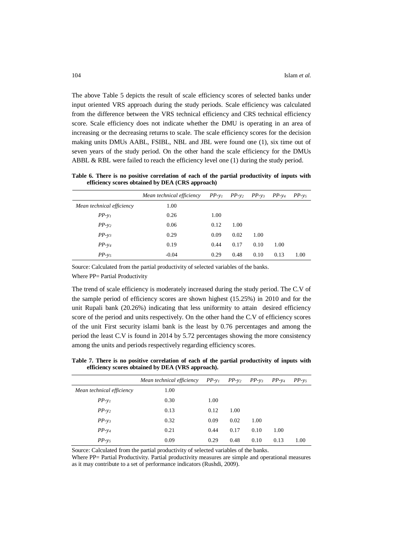The above Table 5 depicts the result of scale efficiency scores of selected banks under input oriented VRS approach during the study periods. Scale efficiency was calculated from the difference between the VRS technical efficiency and CRS technical efficiency score. Scale efficiency does not indicate whether the DMU is operating in an area of increasing or the decreasing returns to scale. The scale efficiency scores for the decision making units DMUs AABL, FSIBL, NBL and JBL were found one (1), six time out of seven years of the study period. On the other hand the scale efficiency for the DMUs ABBL & RBL were failed to reach the efficiency level one (1) during the study period.

**Table 6. There is no positive correlation of each of the partial productivity of inputs with efficiency scores obtained by DEA (CRS approach)**

|                           | Mean technical efficiency | $PP-y_1$ $PP-y_2$ $PP-y_3$ |      |      | $PP-v_4$ | $PP - v_5$ |
|---------------------------|---------------------------|----------------------------|------|------|----------|------------|
| Mean technical efficiency | 1.00                      |                            |      |      |          |            |
| $PP-y_1$                  | 0.26                      | 1.00                       |      |      |          |            |
| $PP - y_2$                | 0.06                      | 0.12                       | 1.00 |      |          |            |
| $PP-y_3$                  | 0.29                      | 0.09                       | 0.02 | 1.00 |          |            |
| $PP - y_4$                | 0.19                      | 0.44                       | 0.17 | 0.10 | 1.00     |            |
| $PP - v_5$                | $-0.04$                   | 0.29                       | 0.48 | 0.10 | 0.13     | 1.00       |

Source: Calculated from the partial productivity of selected variables of the banks.

Where PP= Partial Productivity

The trend of scale efficiency is moderately increased during the study period. The C.V of the sample period of efficiency scores are shown highest (15.25%) in 2010 and for the unit Rupali bank (20.26%) indicating that less uniformity to attain desired efficiency score of the period and units respectively. On the other hand the C.V of efficiency scores of the unit First security islami bank is the least by 0.76 percentages and among the period the least C.V is found in 2014 by 5.72 percentages showing the more consistency among the units and periods respectively regarding efficiency scores.

**Table 7. There is no positive correlation of each of the partial productivity of inputs with efficiency scores obtained by DEA (VRS approach).**

|                           | Mean technical efficiency | $PP-y_1$ | $PP - y_2$ | $PP - y_3$ | $PP-v_4$ | $PP - v_5$ |
|---------------------------|---------------------------|----------|------------|------------|----------|------------|
| Mean technical efficiency | 1.00                      |          |            |            |          |            |
| $PP-v_1$                  | 0.30                      | 1.00     |            |            |          |            |
| $PP-y2$                   | 0.13                      | 0.12     | 1.00       |            |          |            |
| $PP-y_3$                  | 0.32                      | 0.09     | 0.02       | 1.00       |          |            |
| $PP-v_4$                  | 0.21                      | 0.44     | 0.17       | 0.10       | 1.00     |            |
| $PP - y_5$                | 0.09                      | 0.29     | 0.48       | 0.10       | 0.13     | 1.00       |
|                           |                           |          |            |            |          |            |

Source: Calculated from the partial productivity of selected variables of the banks.

Where PP= Partial Productivity. Partial productivity measures are simple and operational measures as it may contribute to a set of performance indicators (Rushdi, 2009).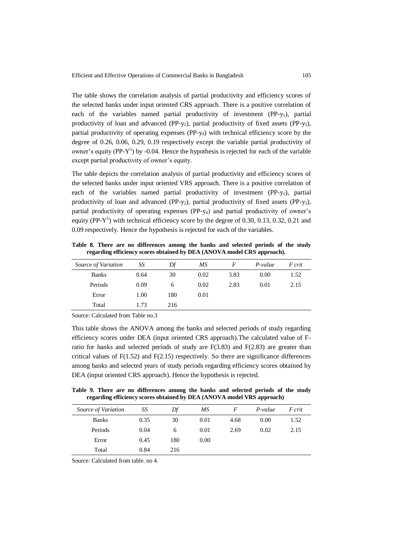The table shows the correlation analysis of partial productivity and efficiency scores of the selected banks under input oriented CRS approach. There is a positive correlation of each of the variables named partial productivity of investment  $(PP-v_1)$ , partial productivity of loan and advanced (PP-y<sub>2</sub>), partial productivity of fixed assets (PP-y<sub>3</sub>), partial productivity of operating expenses (PP-y4) with technical efficiency score by the degree of 0.26, 0.06, 0.29, 0.19 respectively except the variable partial productivity of owner's equity (PP-Y<sup>5</sup>) by -0.04. Hence the hypothesis is rejected for each of the variable except partial productivity of owner's equity.

The table depicts the correlation analysis of partial productivity and efficiency scores of the selected banks under input oriented VRS approach. There is a positive correlation of each of the variables named partial productivity of investment (PP-y<sub>1</sub>), partial productivity of loan and advanced (PP-y2), partial productivity of fixed assets (PP-y3), partial productivity of operating expenses (PP-y4) and partial productivity of owner's equity (PP- $Y^5$ ) with technical efficiency score by the degree of 0.30, 0.13, 0.32, 0.21 and 0.09 respectively. Hence the hypothesis is rejected for each of the variables.

**Table 8. There are no differences among the banks and selected periods of the study regarding efficiency scores obtained by DEA (ANOVA model CRS approach).**

| Source of Variation | SS   | Df  | MS   | F    | P-value | F crit |
|---------------------|------|-----|------|------|---------|--------|
| <b>Banks</b>        | 0.64 | 30  | 0.02 | 3.83 | 0.00    | 1.52   |
| Periods             | 0.09 | 6   | 0.02 | 2.83 | 0.01    | 2.15   |
| Error               | 1.00 | 180 | 0.01 |      |         |        |
| Total               | 1.73 | 216 |      |      |         |        |
|                     |      |     |      |      |         |        |

Source: Calculated from Table no.3

This table shows the ANOVA among the banks and selected periods of study regarding efficiency scores under DEA (input oriented CRS approach).The calculated value of Fratio for banks and selected periods of study are  $F(3.83)$  and  $F(2.83)$  are greater than critical values of  $F(1.52)$  and  $F(2.15)$  respectively. So there are significance differences among banks and selected years of study periods regarding efficiency scores obtained by DEA (input oriented CRS approach). Hence the hypothesis is rejected.

**Table 9. There are no differences among the banks and selected periods of the study regarding efficiency scores obtained by DEA (ANOVA model VRS approach)**

| Source of Variation | SS   | Df  | MS   | F    | P-value | F crit |
|---------------------|------|-----|------|------|---------|--------|
| <b>Banks</b>        | 0.35 | 30  | 0.01 | 4.68 | 0.00    | 1.52   |
| Periods             | 0.04 | 6   | 0.01 | 2.69 | 0.02    | 2.15   |
| Error               | 0.45 | 180 | 0.00 |      |         |        |
| Total               | 0.84 | 216 |      |      |         |        |

Source: Calculated from table. no 4.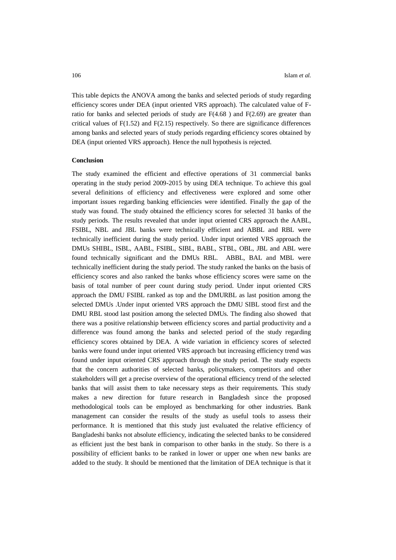This table depicts the ANOVA among the banks and selected periods of study regarding efficiency scores under DEA (input oriented VRS approach). The calculated value of Fratio for banks and selected periods of study are  $F(4.68)$  and  $F(2.69)$  are greater than critical values of  $F(1.52)$  and  $F(2.15)$  respectively. So there are significance differences among banks and selected years of study periods regarding efficiency scores obtained by DEA (input oriented VRS approach). Hence the null hypothesis is rejected.

#### **Conclusion**

The study examined the efficient and effective operations of 31 commercial banks operating in the study period 2009-2015 by using DEA technique. To achieve this goal several definitions of efficiency and effectiveness were explored and some other important issues regarding banking efficiencies were identified. Finally the gap of the study was found. The study obtained the efficiency scores for selected 31 banks of the study periods. The results revealed that under input oriented CRS approach the AABL, FSIBL, NBL and JBL banks were technically efficient and ABBL and RBL were technically inefficient during the study period. Under input oriented VRS approach the DMUs SHIBL, ISBL, AABL, FSIBL, SIBL, BABL, STBL, OBL, JBL and ABL were found technically significant and the DMUs RBL. ABBL, BAL and MBL were technically inefficient during the study period. The study ranked the banks on the basis of efficiency scores and also ranked the banks whose efficiency scores were same on the basis of total number of peer count during study period. Under input oriented CRS approach the DMU FSIBL ranked as top and the DMURBL as last position among the selected DMUs .Under input oriented VRS approach the DMU SIBL stood first and the DMU RBL stood last position among the selected DMUs. The finding also showed that there was a positive relationship between efficiency scores and partial productivity and a difference was found among the banks and selected period of the study regarding efficiency scores obtained by DEA. A wide variation in efficiency scores of selected banks were found under input oriented VRS approach but increasing efficiency trend was found under input oriented CRS approach through the study period. The study expects that the concern authorities of selected banks, policymakers, competitors and other stakeholders will get a precise overview of the operational efficiency trend of the selected banks that will assist them to take necessary steps as their requirements. This study makes a new direction for future research in Bangladesh since the proposed methodological tools can be employed as benchmarking for other industries. Bank management can consider the results of the study as useful tools to assess their performance. It is mentioned that this study just evaluated the relative efficiency of Bangladeshi banks not absolute efficiency, indicating the selected banks to be considered as efficient just the best bank in comparison to other banks in the study. So there is a possibility of efficient banks to be ranked in lower or upper one when new banks are added to the study. It should be mentioned that the limitation of DEA technique is that it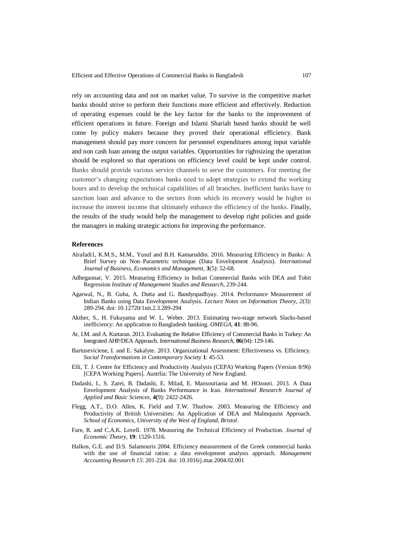rely on accounting data and not on market value. To survive in the competitive market banks should strive to perform their functions more efficient and effectively. Reduction of operating expenses could be the key factor for the banks to the improvement of efficient operations in future. Foreign and Islami Shariah based banks should be well come by policy makers because they proved their operational efficiency. Bank management should pay more concern for personnel expenditures among input variable and non cash loan among the output variables. Opportunities for rightsizing the operation should be explored so that operations on efficiency level could be kept under control. Banks should provide various service channels to serve the customers. For meeting the customer's changing expectations banks need to adopt strategies to extend the working hours and to develop the technical capabilities of all branches. Inefficient banks have to sanction loan and advance to the sectors from which its recovery would be higher to increase the interest income that ultimately enhance the efficiency of the banks. Finally, the results of the study would help the management to develop right policies and guide the managers in making strategic actions for improving the performance.

## **References**

- Alrafadi1, K.M.S., M.M., Yusuf and B.H. Kamaruddin. 2016. Measuring Efficiency in Banks: A Brief Survey on Non–Parametric technique (Data Envelopment Analysis). *International Journal of Business, Economics and Management,* **3**(5): 52-68.
- Adhegaonar, V. 2015. Measuring Efficiency in Indian Commercial Banks with DEA and Tobit Regression *Institute of Management Studies and Research*, 239-244.
- Agarwal, N., B. Guha, A. Dutta and G. Bandyopadhyay. 2014. Performance Measurement of Indian Banks using Data Envelopment Analysis. *Lecture Notes on Information Theory, 2*(3): 289-294. doi: 10.12720/1nit.2.3.289-294
- Akther, S., H. Fukuyama and W. L. Weber. 2013. Estimating two-stage network Slacks-based inefficiency: An application to Bangladesh banking. *OMEGA,* **41**: 88-96.
- Ar, I.M. and A. Kurtaran. 2013. Evaluating the Relative Efficiency of Commercial Banks in Turkey: An Integrated AHP/DEA Approach. *International Business Research,* **06**(04): 129-146.
- Bartuseviciene, I. and E. Sakalyte. 2013. Organizational Assessment: Effectiveness vs. Efficiency. *Social Transformations in Contemporary Society* **1**: 45-53.
- Elli, T. J. Centre for Efficiency and Productivity Analysis (CEPA) Working Papers (Version 8/96) [CEPA Working Papers]. Austrlia: The University of New England.
- Dadashi, I., S. Zarei, B. Dadashi, E. Milad, E. Mansouriania and M. HOzoori. 2013. A Data Envelopment Analysis of Banks Performance in Iran. *International Research Journal of Applied and Basic Sciences,* **4(**9): 2422-2426.
- Flegg, A.T., D.O. Allen, K. Field and T.W. Thurlow. 2003. Measuring the Efficiency and Productivity of British Universities: An Application of DEA and Malmquuist Approach. *School of Economics, University of the West of England, Bristol*.
- Fare, R. and C.A.K. Lovell. 1978. Measuring the Technical Efficiency of Production. *Journal of Economic Theory,* **19**: 1520-1516.
- Halkos, G.E. and D.S. Salamouris 2004. Efficiency measurement of the Greek commercial banks with the use of financial ratios: a data envelopment analysis approach. *Management Accounting Research 15*: 201-224. doi: 10.1016/j.mar.2004.02.001